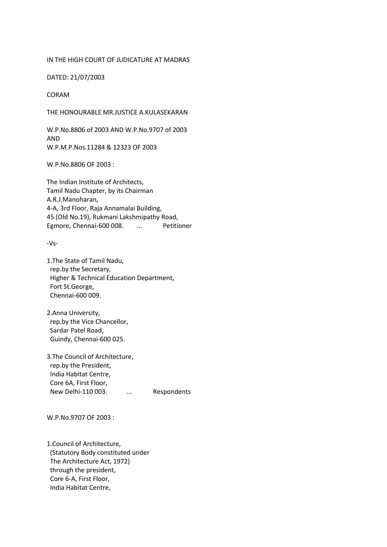## IN THE HIGH COURT OF JUDICATURE AT MADRAS

DATED: 21/07/2003

## CORAM

THE HONOURABLE MR.JUSTICE A.KULASEKARAN

W.P.No.8806 of 2003 AND W.P.No.9707 of 2003 AND W.P.M.P.Nos.11284 & 12323 OF 2003

W.P.No.8806 OF 2003 :

The Indian Institute of Architects, Tamil Nadu Chapter, by its Chairman A.R.J.Manoharan, 4-A, 3rd Floor, Raja Annamalai Building, 45 (Old No.19), Rukmani Lakshmipathy Road, Egmore, Chennai-600 008. ... Petitioner

-Vs-

1.The State of Tamil Nadu, rep.by the Secretary, Higher & Technical Education Department, Fort St.George, Chennai-600 009.

2.Anna University, rep.by the Vice Chancellor, Sardar Patel Road, Guindy, Chennai-600 025.

3.The Council of Architecture, rep.by the President, India Habitat Centre, Core 6A, First Floor, New Delhi-110 003. ... Respondents

W.P.No.9707 OF 2003 :

1.Council of Architecture, (Statutory Body constituted under The Architecture Act, 1972) through the president, Core 6-A, First Floor, India Habitat Centre,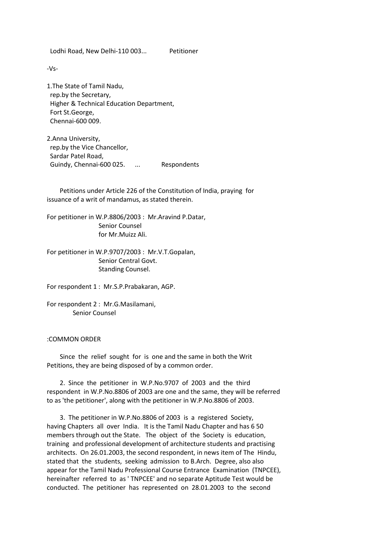Lodhi Road, New Delhi-110 003... Petitioner

-Vs-

1.The State of Tamil Nadu, rep.by the Secretary, Higher & Technical Education Department, Fort St.George, Chennai-600 009.

2.Anna University, rep.by the Vice Chancellor, Sardar Patel Road, Guindy, Chennai-600 025. ... Respondents

 Petitions under Article 226 of the Constitution of India, praying for issuance of a writ of mandamus, as stated therein.

For petitioner in W.P.8806/2003 : Mr.Aravind P.Datar, Senior Counsel for Mr.Muizz Ali.

For petitioner in W.P.9707/2003 : Mr.V.T.Gopalan, Senior Central Govt. Standing Counsel.

For respondent 1 : Mr.S.P.Prabakaran, AGP.

For respondent 2 : Mr.G.Masilamani, Senior Counsel

## :COMMON ORDER

 Since the relief sought for is one and the same in both the Writ Petitions, they are being disposed of by a common order.

 2. Since the petitioner in W.P.No.9707 of 2003 and the third respondent in W.P.No.8806 of 2003 are one and the same, they will be referred to as 'the petitioner', along with the petitioner in W.P.No.8806 of 2003.

 3. The petitioner in W.P.No.8806 of 2003 is a registered Society, having Chapters all over India. It is the Tamil Nadu Chapter and has 6 50 members through out the State. The object of the Society is education, training and professional development of architecture students and practising architects. On 26.01.2003, the second respondent, in news item of The Hindu, stated that the students, seeking admission to B.Arch. Degree, also also appear for the Tamil Nadu Professional Course Entrance Examination (TNPCEE), hereinafter referred to as ' TNPCEE' and no separate Aptitude Test would be conducted. The petitioner has represented on 28.01.2003 to the second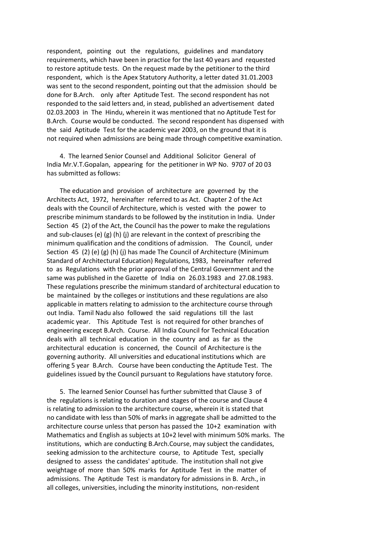respondent, pointing out the regulations, guidelines and mandatory requirements, which have been in practice for the last 40 years and requested to restore aptitude tests. On the request made by the petitioner to the third respondent, which is the Apex Statutory Authority, a letter dated 31.01.2003 was sent to the second respondent, pointing out that the admission should be done for B.Arch. only after Aptitude Test. The second respondent has not responded to the said letters and, in stead, published an advertisement dated 02.03.2003 in The Hindu, wherein it was mentioned that no Aptitude Test for B.Arch. Course would be conducted. The second respondent has dispensed with the said Aptitude Test for the academic year 2003, on the ground that it is not required when admissions are being made through competitive examination.

 4. The learned Senior Counsel and Additional Solicitor General of India Mr.V.T.Gopalan, appearing for the petitioner in WP No. 9707 of 20 03 has submitted as follows:

 The education and provision of architecture are governed by the Architects Act, 1972, hereinafter referred to as Act. Chapter 2 of the Act deals with the Council of Architecture, which is vested with the power to prescribe minimum standards to be followed by the institution in India. Under Section 45 (2) of the Act, the Council has the power to make the regulations and sub-clauses (e) (g) (h) (j) are relevant in the context of prescribing the minimum qualification and the conditions of admission. The Council, under Section 45 (2) (e) (g) (h) (j) has made The Council of Architecture (Minimum Standard of Architectural Education) Regulations, 1983, hereinafter referred to as Regulations with the prior approval of the Central Government and the same was published in the Gazette of India on 26.03.1983 and 27.08.1983. These regulations prescribe the minimum standard of architectural education to be maintained by the colleges or institutions and these regulations are also applicable in matters relating to admission to the architecture course through out India. Tamil Nadu also followed the said regulations till the last academic year. This Aptitude Test is not required for other branches of engineering except B.Arch. Course. All India Council for Technical Education deals with all technical education in the country and as far as the architectural education is concerned, the Council of Architecture is the governing authority. All universities and educational institutions which are offering 5 year B.Arch. Course have been conducting the Aptitude Test. The guidelines issued by the Council pursuant to Regulations have statutory force.

 5. The learned Senior Counsel has further submitted that Clause 3 of the regulations is relating to duration and stages of the course and Clause 4 is relating to admission to the architecture course, wherein it is stated that no candidate with less than 50% of marks in aggregate shall be admitted to the architecture course unless that person has passed the 10+2 examination with Mathematics and English as subjects at 10+2 level with minimum 50% marks. The institutions, which are conducting B.Arch.Course, may subject the candidates, seeking admission to the architecture course, to Aptitude Test, specially designed to assess the candidates' aptitude. The institution shall not give weightage of more than 50% marks for Aptitude Test in the matter of admissions. The Aptitude Test is mandatory for admissions in B. Arch., in all colleges, universities, including the minority institutions, non-resident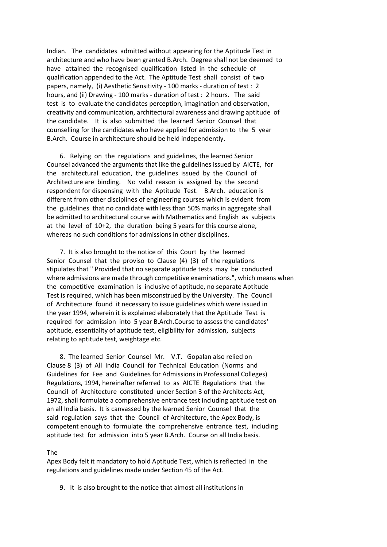Indian. The candidates admitted without appearing for the Aptitude Test in architecture and who have been granted B.Arch. Degree shall not be deemed to have attained the recognised qualification listed in the schedule of qualification appended to the Act. The Aptitude Test shall consist of two papers, namely, (i) Aesthetic Sensitivity - 100 marks - duration of test : 2 hours, and (ii) Drawing - 100 marks - duration of test : 2 hours. The said test is to evaluate the candidates perception, imagination and observation, creativity and communication, architectural awareness and drawing aptitude of the candidate. It is also submitted the learned Senior Counsel that counselling for the candidates who have applied for admission to the 5 year B.Arch. Course in architecture should be held independently.

 6. Relying on the regulations and guidelines, the learned Senior Counsel advanced the arguments that like the guidelines issued by AICTE, for the architectural education, the guidelines issued by the Council of Architecture are binding. No valid reason is assigned by the second respondent for dispensing with the Aptitude Test. B.Arch. education is different from other disciplines of engineering courses which is evident from the guidelines that no candidate with less than 50% marks in aggregate shall be admitted to architectural course with Mathematics and English as subjects at the level of 10+2, the duration being 5 years for this course alone, whereas no such conditions for admissions in other disciplines.

 7. It is also brought to the notice of this Court by the learned Senior Counsel that the proviso to Clause (4) (3) of the regulations stipulates that " Provided that no separate aptitude tests may be conducted where admissions are made through competitive examinations.", which means when the competitive examination is inclusive of aptitude, no separate Aptitude Test is required, which has been misconstrued by the University. The Council of Architecture found it necessary to issue guidelines which were issued in the year 1994, wherein it is explained elaborately that the Aptitude Test is required for admission into 5 year B.Arch.Course to assess the candidates' aptitude, essentiality of aptitude test, eligibility for admission, subjects relating to aptitude test, weightage etc.

 8. The learned Senior Counsel Mr. V.T. Gopalan also relied on Clause 8 (3) of All India Council for Technical Education (Norms and Guidelines for Fee and Guidelines for Admissions in Professional Colleges) Regulations, 1994, hereinafter referred to as AICTE Regulations that the Council of Architecture constituted under Section 3 of the Architects Act, 1972, shall formulate a comprehensive entrance test including aptitude test on an all India basis. It is canvassed by the learned Senior Counsel that the said regulation says that the Council of Architecture, the Apex Body, is competent enough to formulate the comprehensive entrance test, including aptitude test for admission into 5 year B.Arch. Course on all India basis.

## The

Apex Body felt it mandatory to hold Aptitude Test, which is reflected in the regulations and guidelines made under Section 45 of the Act.

9. It is also brought to the notice that almost all institutions in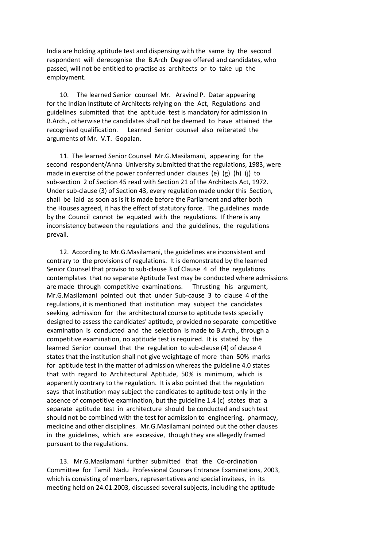India are holding aptitude test and dispensing with the same by the second respondent will derecognise the B.Arch Degree offered and candidates, who passed, will not be entitled to practise as architects or to take up the employment.

 10. The learned Senior counsel Mr. Aravind P. Datar appearing for the Indian Institute of Architects relying on the Act, Regulations and guidelines submitted that the aptitude test is mandatory for admission in B.Arch., otherwise the candidates shall not be deemed to have attained the recognised qualification. Learned Senior counsel also reiterated the arguments of Mr. V.T. Gopalan.

 11. The learned Senior Counsel Mr.G.Masilamani, appearing for the second respondent/Anna University submitted that the regulations, 1983, were made in exercise of the power conferred under clauses (e) (g) (h) (j) to sub-section 2 of Section 45 read with Section 21 of the Architects Act, 1972. Under sub-clause (3) of Section 43, every regulation made under this Section, shall be laid as soon as is it is made before the Parliament and after both the Houses agreed, it has the effect of statutory force. The guidelines made by the Council cannot be equated with the regulations. If there is any inconsistency between the regulations and the guidelines, the regulations prevail.

 12. According to Mr.G.Masilamani, the guidelines are inconsistent and contrary to the provisions of regulations. It is demonstrated by the learned Senior Counsel that proviso to sub-clause 3 of Clause 4 of the regulations contemplates that no separate Aptitude Test may be conducted where admissions are made through competitive examinations. Thrusting his argument, Mr.G.Masilamani pointed out that under Sub-cause 3 to clause 4 of the regulations, it is mentioned that institution may subject the candidates seeking admission for the architectural course to aptitude tests specially designed to assess the candidates' aptitude, provided no separate competitive examination is conducted and the selection is made to B.Arch., through a competitive examination, no aptitude test is required. It is stated by the learned Senior counsel that the regulation to sub-clause (4) of clause 4 states that the institution shall not give weightage of more than 50% marks for aptitude test in the matter of admission whereas the guideline 4.0 states that with regard to Architectural Aptitude, 50% is minimum, which is apparently contrary to the regulation. It is also pointed that the regulation says that institution may subject the candidates to aptitude test only in the absence of competitive examination, but the guideline 1.4 (c) states that a separate aptitude test in architecture should be conducted and such test should not be combined with the test for admission to engineering, pharmacy, medicine and other disciplines. Mr.G.Masilamani pointed out the other clauses in the guidelines, which are excessive, though they are allegedly framed pursuant to the regulations.

 13. Mr.G.Masilamani further submitted that the Co-ordination Committee for Tamil Nadu Professional Courses Entrance Examinations, 2003, which is consisting of members, representatives and special invitees, in its meeting held on 24.01.2003, discussed several subjects, including the aptitude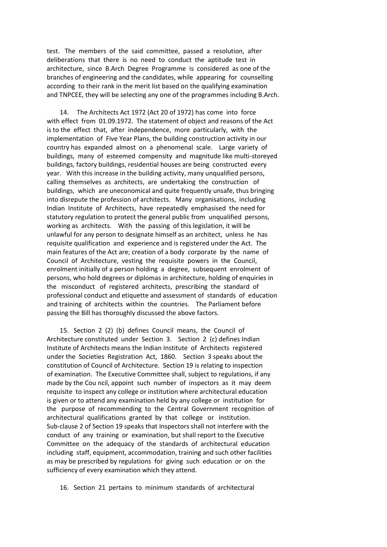test. The members of the said committee, passed a resolution, after deliberations that there is no need to conduct the aptitude test in architecture, since B.Arch Degree Programme is considered as one of the branches of engineering and the candidates, while appearing for counselling according to their rank in the merit list based on the qualifying examination and TNPCEE, they will be selecting any one of the programmes including B.Arch.

 14. The Architects Act 1972 (Act 20 of 1972) has come into force with effect from 01.09.1972. The statement of object and reasons of the Act is to the effect that, after independence, more particularly, with the implementation of Five Year Plans, the building construction activity in our country has expanded almost on a phenomenal scale. Large variety of buildings, many of esteemed compensity and magnitude like multi-storeyed buildings, factory buildings, residential houses are being constructed every year. With this increase in the building activity, many unqualified persons, calling themselves as architects, are undertaking the construction of buildings, which are uneconomical and quite frequently unsafe, thus bringing into disrepute the profession of architects. Many organisations, including Indian Institute of Architects, have repeatedly emphasised the need for statutory regulation to protect the general public from unqualified persons, working as architects. With the passing of this legislation, it will be unlawful for any person to designate himself as an architect, unless he has requisite qualification and experience and is registered under the Act. The main features of the Act are; creation of a body corporate by the name of Council of Architecture, vesting the requisite powers in the Council, enrolment initially of a person holding a degree, subsequent enrolment of persons, who hold degrees or diplomas in architecture, holding of enquiries in the misconduct of registered architects, prescribing the standard of professional conduct and etiquette and assessment of standards of education and training of architects within the countries. The Parliament before passing the Bill has thoroughly discussed the above factors.

 15. Section 2 (2) (b) defines Council means, the Council of Architecture constituted under Section 3. Section 2 (c) defines Indian Institute of Architects means the Indian Institute of Architects registered under the Societies Registration Act, 1860. Section 3 speaks about the constitution of Council of Architecture. Section 19 is relating to inspection of examination. The Executive Committee shall, subject to regulations, if any made by the Cou ncil, appoint such number of inspectors as it may deem requisite to inspect any college or institution where architectural education is given or to attend any examination held by any college or institution for the purpose of recommending to the Central Government recognition of architectural qualifications granted by that college or institution. Sub-clause 2 of Section 19 speaks that Inspectors shall not interfere with the conduct of any training or examination, but shall report to the Executive Committee on the adequacy of the standards of architectural education including staff, equipment, accommodation, training and such other facilities as may be prescribed by regulations for giving such education or on the sufficiency of every examination which they attend.

16. Section 21 pertains to minimum standards of architectural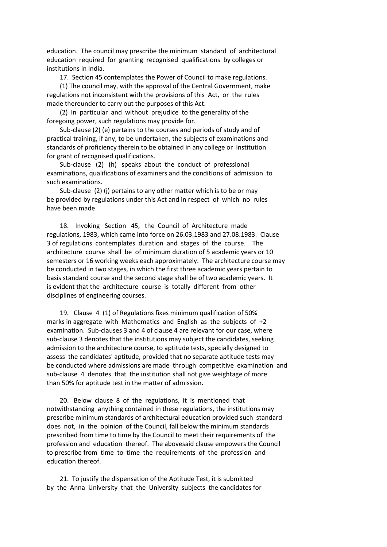education. The council may prescribe the minimum standard of architectural education required for granting recognised qualifications by colleges or institutions in India.

17. Section 45 contemplates the Power of Council to make regulations.

 (1) The council may, with the approval of the Central Government, make regulations not inconsistent with the provisions of this Act, or the rules made thereunder to carry out the purposes of this Act.

 (2) In particular and without prejudice to the generality of the foregoing power, such regulations may provide for.

 Sub-clause (2) (e) pertains to the courses and periods of study and of practical training, if any, to be undertaken, the subjects of examinations and standards of proficiency therein to be obtained in any college or institution for grant of recognised qualifications.

 Sub-clause (2) (h) speaks about the conduct of professional examinations, qualifications of examiners and the conditions of admission to such examinations.

 Sub-clause (2) (j) pertains to any other matter which is to be or may be provided by regulations under this Act and in respect of which no rules have been made.

 18. Invoking Section 45, the Council of Architecture made regulations, 1983, which came into force on 26.03.1983 and 27.08.1983. Clause 3 of regulations contemplates duration and stages of the course. The architecture course shall be of minimum duration of 5 academic years or 10 semesters or 16 working weeks each approximately. The architecture course may be conducted in two stages, in which the first three academic years pertain to basis standard course and the second stage shall be of two academic years. It is evident that the architecture course is totally different from other disciplines of engineering courses.

 19. Clause 4 (1) of Regulations fixes minimum qualification of 50% marks in aggregate with Mathematics and English as the subjects of +2 examination. Sub-clauses 3 and 4 of clause 4 are relevant for our case, where sub-clause 3 denotes that the institutions may subject the candidates, seeking admission to the architecture course, to aptitude tests, specially designed to assess the candidates' aptitude, provided that no separate aptitude tests may be conducted where admissions are made through competitive examination and sub-clause 4 denotes that the institution shall not give weightage of more than 50% for aptitude test in the matter of admission.

 20. Below clause 8 of the regulations, it is mentioned that notwithstanding anything contained in these regulations, the institutions may prescribe minimum standards of architectural education provided such standard does not, in the opinion of the Council, fall below the minimum standards prescribed from time to time by the Council to meet their requirements of the profession and education thereof. The abovesaid clause empowers the Council to prescribe from time to time the requirements of the profession and education thereof.

 21. To justify the dispensation of the Aptitude Test, it is submitted by the Anna University that the University subjects the candidates for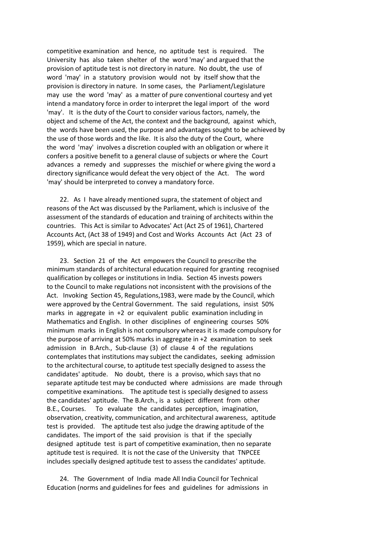competitive examination and hence, no aptitude test is required. The University has also taken shelter of the word 'may' and argued that the provision of aptitude test is not directory in nature. No doubt, the use of word 'may' in a statutory provision would not by itself show that the provision is directory in nature. In some cases, the Parliament/Legislature may use the word 'may' as a matter of pure conventional courtesy and yet intend a mandatory force in order to interpret the legal import of the word 'may'. It is the duty of the Court to consider various factors, namely, the object and scheme of the Act, the context and the background, against which, the words have been used, the purpose and advantages sought to be achieved by the use of those words and the like. It is also the duty of the Court, where the word 'may' involves a discretion coupled with an obligation or where it confers a positive benefit to a general clause of subjects or where the Court advances a remedy and suppresses the mischief or where giving the word a directory significance would defeat the very object of the Act. The word 'may' should be interpreted to convey a mandatory force.

 22. As I have already mentioned supra, the statement of object and reasons of the Act was discussed by the Parliament, which is inclusive of the assessment of the standards of education and training of architects within the countries. This Act is similar to Advocates' Act (Act 25 of 1961), Chartered Accounts Act, (Act 38 of 1949) and Cost and Works Accounts Act (Act 23 of 1959), which are special in nature.

 23. Section 21 of the Act empowers the Council to prescribe the minimum standards of architectural education required for granting recognised qualification by colleges or institutions in India. Section 45 invests powers to the Council to make regulations not inconsistent with the provisions of the Act. Invoking Section 45, Regulations,1983, were made by the Council, which were approved by the Central Government. The said regulations, insist 50% marks in aggregate in +2 or equivalent public examination including in Mathematics and English. In other disciplines of engineering courses 50% minimum marks in English is not compulsory whereas it is made compulsory for the purpose of arriving at 50% marks in aggregate in +2 examination to seek admission in B.Arch., Sub-clause (3) of clause 4 of the regulations contemplates that institutions may subject the candidates, seeking admission to the architectural course, to aptitude test specially designed to assess the candidates' aptitude. No doubt, there is a proviso, which says that no separate aptitude test may be conducted where admissions are made through competitive examinations. The aptitude test is specially designed to assess the candidates' aptitude. The B.Arch., is a subject different from other B.E., Courses. To evaluate the candidates perception, imagination, observation, creativity, communication, and architectural awareness, aptitude test is provided. The aptitude test also judge the drawing aptitude of the candidates. The import of the said provision is that if the specially designed aptitude test is part of competitive examination, then no separate aptitude test is required. It is not the case of the University that TNPCEE includes specially designed aptitude test to assess the candidates' aptitude.

 24. The Government of India made All India Council for Technical Education (norms and guidelines for fees and guidelines for admissions in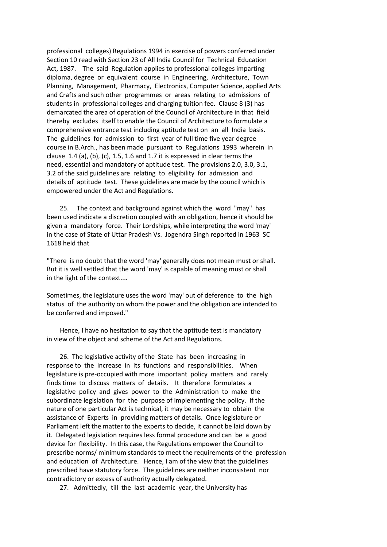professional colleges) Regulations 1994 in exercise of powers conferred under Section 10 read with Section 23 of All India Council for Technical Education Act, 1987. The said Regulation applies to professional colleges imparting diploma, degree or equivalent course in Engineering, Architecture, Town Planning, Management, Pharmacy, Electronics, Computer Science, applied Arts and Crafts and such other programmes or areas relating to admissions of students in professional colleges and charging tuition fee. Clause 8 (3) has demarcated the area of operation of the Council of Architecture in that field thereby excludes itself to enable the Council of Architecture to formulate a comprehensive entrance test including aptitude test on an all India basis. The guidelines for admission to first year of full time five year degree course in B.Arch., has been made pursuant to Regulations 1993 wherein in clause 1.4 (a), (b), (c), 1.5, 1.6 and 1.7 it is expressed in clear terms the need, essential and mandatory of aptitude test. The provisions 2.0, 3.0, 3.1, 3.2 of the said guidelines are relating to eligibility for admission and details of aptitude test. These guidelines are made by the council which is empowered under the Act and Regulations.

 25. The context and background against which the word "may" has been used indicate a discretion coupled with an obligation, hence it should be given a mandatory force. Their Lordships, while interpreting the word 'may' in the case of State of Uttar Pradesh Vs. Jogendra Singh reported in 1963 SC 1618 held that

"There is no doubt that the word 'may' generally does not mean must or shall. But it is well settled that the word 'may' is capable of meaning must or shall in the light of the context....

Sometimes, the legislature uses the word 'may' out of deference to the high status of the authority on whom the power and the obligation are intended to be conferred and imposed."

 Hence, I have no hesitation to say that the aptitude test is mandatory in view of the object and scheme of the Act and Regulations.

 26. The legislative activity of the State has been increasing in response to the increase in its functions and responsibilities. When legislature is pre-occupied with more important policy matters and rarely finds time to discuss matters of details. It therefore formulates a legislative policy and gives power to the Administration to make the subordinate legislation for the purpose of implementing the policy. If the nature of one particular Act is technical, it may be necessary to obtain the assistance of Experts in providing matters of details. Once legislature or Parliament left the matter to the experts to decide, it cannot be laid down by it. Delegated legislation requires less formal procedure and can be a good device for flexibility. In this case, the Regulations empower the Council to prescribe norms/ minimum standards to meet the requirements of the profession and education of Architecture. Hence, I am of the view that the guidelines prescribed have statutory force. The guidelines are neither inconsistent nor contradictory or excess of authority actually delegated.

27. Admittedly, till the last academic year, the University has